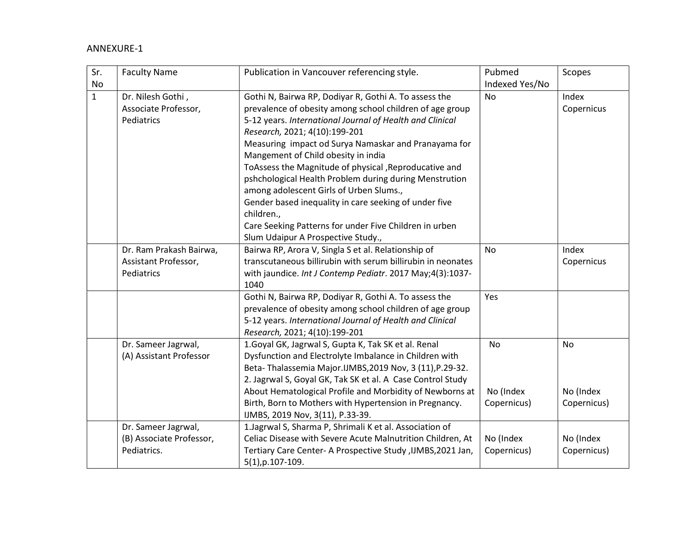## ANNEXURE-1

| Sr.          | <b>Faculty Name</b>                                            | Publication in Vancouver referencing style.                                                                                                                                                                                                                                                                                                                                                                                                                                                                                                                                                                                                         | Pubmed                         | Scopes                         |
|--------------|----------------------------------------------------------------|-----------------------------------------------------------------------------------------------------------------------------------------------------------------------------------------------------------------------------------------------------------------------------------------------------------------------------------------------------------------------------------------------------------------------------------------------------------------------------------------------------------------------------------------------------------------------------------------------------------------------------------------------------|--------------------------------|--------------------------------|
| No           |                                                                |                                                                                                                                                                                                                                                                                                                                                                                                                                                                                                                                                                                                                                                     | Indexed Yes/No                 |                                |
| $\mathbf{1}$ | Dr. Nilesh Gothi,<br>Associate Professor,<br>Pediatrics        | Gothi N, Bairwa RP, Dodiyar R, Gothi A. To assess the<br>prevalence of obesity among school children of age group<br>5-12 years. International Journal of Health and Clinical<br>Research, 2021; 4(10):199-201<br>Measuring impact od Surya Namaskar and Pranayama for<br>Mangement of Child obesity in india<br>ToAssess the Magnitude of physical , Reproducative and<br>pshchological Health Problem during during Menstrution<br>among adolescent Girls of Urben Slums.,<br>Gender based inequality in care seeking of under five<br>children.,<br>Care Seeking Patterns for under Five Children in urben<br>Slum Udaipur A Prospective Study., | <b>No</b>                      | Index<br>Copernicus            |
|              | Dr. Ram Prakash Bairwa,<br>Assistant Professor,<br>Pediatrics  | Bairwa RP, Arora V, Singla S et al. Relationship of<br>transcutaneous billirubin with serum billirubin in neonates<br>with jaundice. Int J Contemp Pediatr. 2017 May;4(3):1037-<br>1040                                                                                                                                                                                                                                                                                                                                                                                                                                                             | <b>No</b>                      | Index<br>Copernicus            |
|              |                                                                | Gothi N, Bairwa RP, Dodiyar R, Gothi A. To assess the<br>prevalence of obesity among school children of age group<br>5-12 years. International Journal of Health and Clinical<br>Research, 2021; 4(10):199-201                                                                                                                                                                                                                                                                                                                                                                                                                                      | Yes                            |                                |
|              | Dr. Sameer Jagrwal,<br>(A) Assistant Professor                 | 1. Goyal GK, Jagrwal S, Gupta K, Tak SK et al. Renal<br>Dysfunction and Electrolyte Imbalance in Children with<br>Beta-Thalassemia Major.IJMBS, 2019 Nov, 3 (11), P.29-32.<br>2. Jagrwal S, Goyal GK, Tak SK et al. A Case Control Study<br>About Hematological Profile and Morbidity of Newborns at<br>Birth, Born to Mothers with Hypertension in Pregnancy.<br>IJMBS, 2019 Nov, 3(11), P.33-39.                                                                                                                                                                                                                                                  | No<br>No (Index<br>Copernicus) | No<br>No (Index<br>Copernicus) |
|              | Dr. Sameer Jagrwal,<br>(B) Associate Professor,<br>Pediatrics. | 1. Jagrwal S, Sharma P, Shrimali K et al. Association of<br>Celiac Disease with Severe Acute Malnutrition Children, At<br>Tertiary Care Center- A Prospective Study, IJMBS, 2021 Jan,<br>$5(1), p.107-109.$                                                                                                                                                                                                                                                                                                                                                                                                                                         | No (Index<br>Copernicus)       | No (Index<br>Copernicus)       |